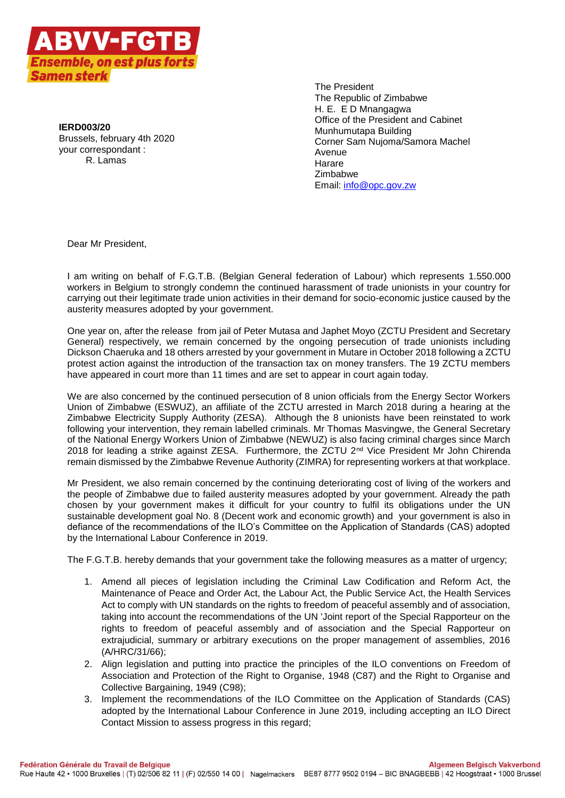

**IERD003/20** Brussels, february 4th 2020 your correspondant : R. Lamas

The President The Republic of Zimbabwe H. E. E D Mnangagwa Office of the President and Cabinet Munhumutapa Building Corner Sam Nujoma/Samora Machel Avenue Harare Zimbabwe Email: [info@opc.gov.zw](mailto:info@opc.gov.zw)

Dear Mr President,

I am writing on behalf of F.G.T.B. (Belgian General federation of Labour) which represents 1.550.000 workers in Belgium to strongly condemn the continued harassment of trade unionists in your country for carrying out their legitimate trade union activities in their demand for socio-economic justice caused by the austerity measures adopted by your government.

One year on, after the release from jail of Peter Mutasa and Japhet Moyo (ZCTU President and Secretary General) respectively, we remain concerned by the ongoing persecution of trade unionists including Dickson Chaeruka and 18 others arrested by your government in Mutare in October 2018 following a ZCTU protest action against the introduction of the transaction tax on money transfers. The 19 ZCTU members have appeared in court more than 11 times and are set to appear in court again today.

We are also concerned by the continued persecution of 8 union officials from the Energy Sector Workers Union of Zimbabwe (ESWUZ), an affiliate of the ZCTU arrested in March 2018 during a hearing at the Zimbabwe Electricity Supply Authority (ZESA). Although the 8 unionists have been reinstated to work following your intervention, they remain labelled criminals. Mr Thomas Masvingwe, the General Secretary of the National Energy Workers Union of Zimbabwe (NEWUZ) is also facing criminal charges since March 2018 for leading a strike against ZESA. Furthermore, the ZCTU 2<sup>nd</sup> Vice President Mr John Chirenda remain dismissed by the Zimbabwe Revenue Authority (ZIMRA) for representing workers at that workplace.

Mr President, we also remain concerned by the continuing deteriorating cost of living of the workers and the people of Zimbabwe due to failed austerity measures adopted by your government. Already the path chosen by your government makes it difficult for your country to fulfil its obligations under the UN sustainable development goal No. 8 (Decent work and economic growth) and your government is also in defiance of the recommendations of the ILO's Committee on the Application of Standards (CAS) adopted by the International Labour Conference in 2019.

The F.G.T.B. hereby demands that your government take the following measures as a matter of urgency;

- 1. Amend all pieces of legislation including the Criminal Law Codification and Reform Act, the Maintenance of Peace and Order Act, the Labour Act, the Public Service Act, the Health Services Act to comply with UN standards on the rights to freedom of peaceful assembly and of association, taking into account the recommendations of the UN 'Joint report of the Special Rapporteur on the rights to freedom of peaceful assembly and of association and the Special Rapporteur on extrajudicial, summary or arbitrary executions on the proper management of assemblies, 2016 (A/HRC/31/66);
- 2. Align legislation and putting into practice the principles of the ILO conventions on Freedom of Association and Protection of the Right to Organise, 1948 (C87) and the Right to Organise and Collective Bargaining, 1949 (C98);
- 3. Implement the recommendations of the ILO Committee on the Application of Standards (CAS) adopted by the International Labour Conference in June 2019, including accepting an ILO Direct Contact Mission to assess progress in this regard;